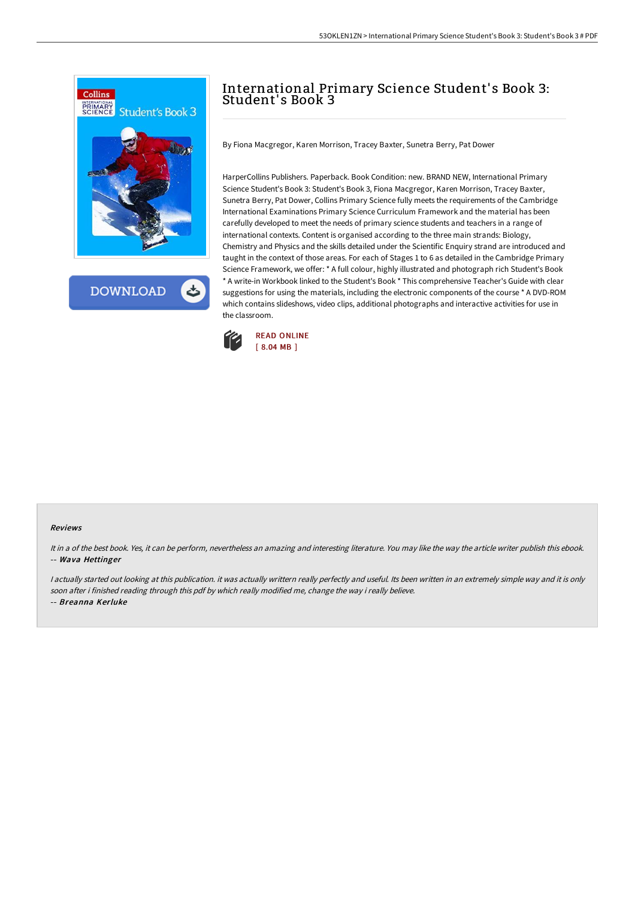

HarperCollins Publishers. Paperback. Book Condition: new. BRAND NEW, International Primary

By Fiona Macgregor, Karen Morrison, Tracey Baxter, Sunetra Berry, Pat Dower

Science Student's Book 3: Student's Book 3, Fiona Macgregor, Karen Morrison, Tracey Baxter, Sunetra Berry, Pat Dower, Collins Primary Science fully meets the requirements of the Cambridge International Examinations Primary Science Curriculum Framework and the material has been carefully developed to meet the needs of primary science students and teachers in a range of international contexts. Content is organised according to the three main strands: Biology, Chemistry and Physics and the skills detailed under the Scientific Enquiry strand are introduced and taught in the context of those areas. For each of Stages 1 to 6 as detailed in the Cambridge Primary Science Framework, we offer: \* A full colour, highly illustrated and photograph rich Student's Book \* A write-in Workbook linked to the Student's Book \* This comprehensive Teacher's Guide with clear suggestions for using the materials, including the electronic components of the course \* A DVD-ROM which contains slideshows, video clips, additional photographs and interactive activities for use in the classroom.

International Primary Science Student's Book 3:



Student' s Book 3

## Reviews

It in <sup>a</sup> of the best book. Yes, it can be perform, nevertheless an amazing and interesting literature. You may like the way the article writer publish this ebook. -- Wava Hettinger

<sup>I</sup> actually started out looking at this publication. it was actually writtern really perfectly and useful. Its been written in an extremely simple way and it is only soon after i finished reading through this pdf by which really modified me, change the way i really believe.

-- Breanna Kerluke